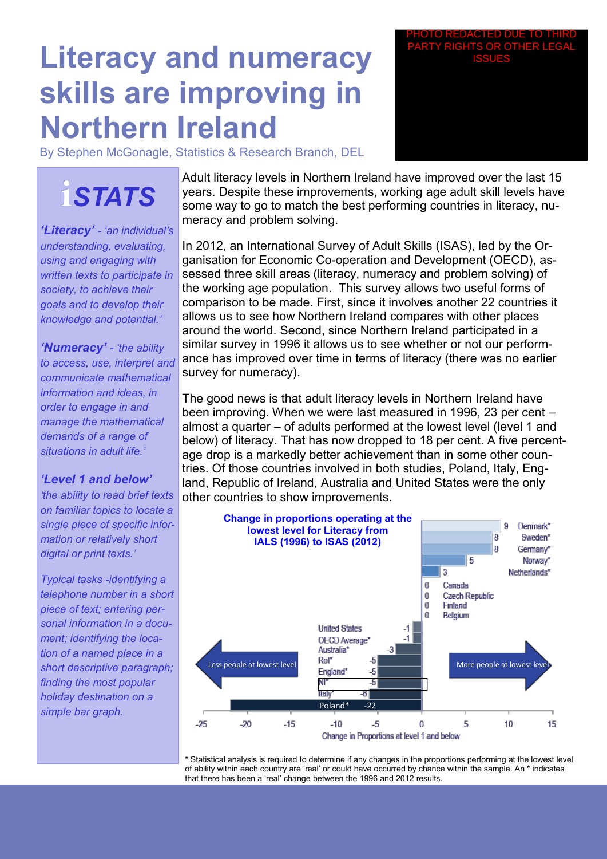## **Literacy and numeracy skills are improving in Northern Ireland**

By Stephen McGonagle, Statistics & Research Branch, DEL

# **i***STATS*

*'Literacy' - 'an individual's understanding, evaluating, using and engaging with written texts to participate in society, to achieve their goals and to develop their knowledge and potential.'*

*'Numeracy' - 'the ability to access, use, interpret and communicate mathematical information and ideas, in order to engage in and manage the mathematical demands of a range of situations in adult life.'*

### *'Level 1 and below'*

*'the ability to read brief texts on familiar topics to locate a single piece of specific information or relatively short digital or print texts.'* 

*Typical tasks -identifying a telephone number in a short piece of text; entering personal information in a document; identifying the location of a named place in a short descriptive paragraph; finding the most popular holiday destination on a simple bar graph.* 

Adult literacy levels in Northern Ireland have improved over the last 15 years. Despite these improvements, working age adult skill levels have some way to go to match the best performing countries in literacy, numeracy and problem solving.

In 2012, an International Survey of Adult Skills (ISAS), led by the Organisation for Economic Co-operation and Development (OECD), assessed three skill areas (literacy, numeracy and problem solving) of the working age population. This survey allows two useful forms of comparison to be made. First, since it involves another 22 countries it allows us to see how Northern Ireland compares with other places around the world. Second, since Northern Ireland participated in a similar survey in 1996 it allows us to see whether or not our performance has improved over time in terms of literacy (there was no earlier survey for numeracy).

The good news is that adult literacy levels in Northern Ireland have been improving. When we were last measured in 1996, 23 per cent – almost a quarter – of adults performed at the lowest level (level 1 and below) of literacy. That has now dropped to 18 per cent. A five percentage drop is a markedly better achievement than in some other countries. Of those countries involved in both studies, Poland, Italy, England, Republic of Ireland, Australia and United States were the only other countries to show improvements.



\* Statistical analysis is required to determine if any changes in the proportions performing at the lowest level of ability within each country are 'real' or could have occurred by chance within the sample. An \* indicates that there has been a 'real' change between the 1996 and 2012 results.